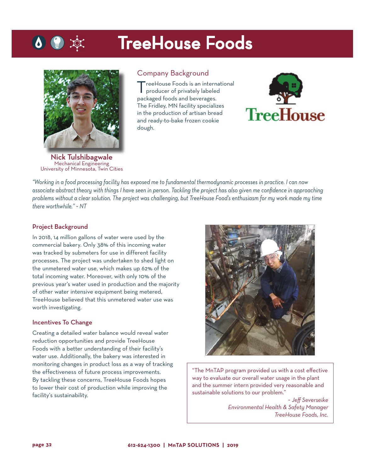# TreeHouse Foods



Nick Tulshibagwale Mechanical Engineering University of Minnesota, Twin Cities

### Company Background

TreeHouse Foods is an international producer of privately labeled packaged foods and beverages. The Fridley, MN facility specializes in the production of artisan bread and ready-to-bake frozen cookie dough.



*"Working in a food processing facility has exposed me to fundamental thermodynamic processes in practice. I can now associate abstract theory with things I have seen in person. Tackling the project has also given me confidence in approaching problems without a clear solution. The project was challenging, but TreeHouse Food's enthusiasm for my work made my time there worthwhile." ~ NT*

#### Project Background

In 2018, 14 million gallons of water were used by the commercial bakery. Only 38% of this incoming water was tracked by submeters for use in different facility processes. The project was undertaken to shed light on the unmetered water use, which makes up 62% of the total incoming water. Moreover, with only 10% of the previous year's water used in production and the majority of other water intensive equipment being metered, TreeHouse believed that this unmetered water use was worth investigating.

#### Incentives To Change

Creating a detailed water balance would reveal water reduction opportunities and provide TreeHouse Foods with a better understanding of their facility's water use. Additionally, the bakery was interested in monitoring changes in product loss as a way of tracking the effectiveness of future process improvements. By tackling these concerns, TreeHouse Foods hopes to lower their cost of production while improving the facility's sustainability.



"The MnTAP program provided us with a cost effective way to evaluate our overall water usage in the plant and the summer intern provided very reasonable and sustainable solutions to our problem."

~ *Jeff Severseike Environmental Health & Safety Manager TreeHouse Foods, Inc.*